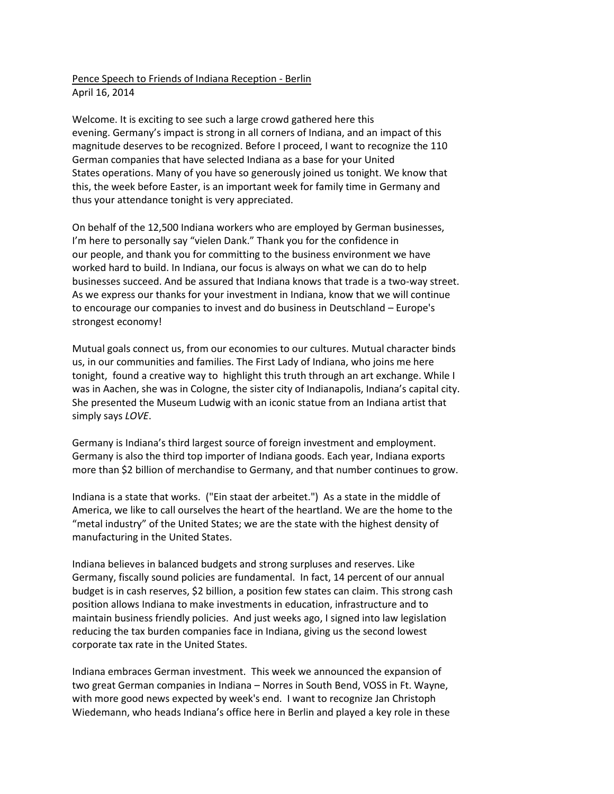Pence Speech to Friends of Indiana Reception - Berlin April 16, 2014

Welcome. It is exciting to see such a large crowd gathered here this evening. Germany's impact is strong in all corners of Indiana, and an impact of this magnitude deserves to be recognized. Before I proceed, I want to recognize the 110 German companies that have selected Indiana as a base for your United States operations. Many of you have so generously joined us tonight. We know that this, the week before Easter, is an important week for family time in Germany and thus your attendance tonight is very appreciated.

On behalf of the 12,500 Indiana workers who are employed by German businesses, I'm here to personally say "vielen Dank." Thank you for the confidence in our people, and thank you for committing to the business environment we have worked hard to build. In Indiana, our focus is always on what we can do to help businesses succeed. And be assured that Indiana knows that trade is a two-way street. As we express our thanks for your investment in Indiana, know that we will continue to encourage our companies to invest and do business in Deutschland – Europe's strongest economy!

Mutual goals connect us, from our economies to our cultures. Mutual character binds us, in our communities and families. The First Lady of Indiana, who joins me here tonight, found a creative way to highlight this truth through an art exchange. While I was in Aachen, she was in Cologne, the sister city of Indianapolis, Indiana's capital city. She presented the Museum Ludwig with an iconic statue from an Indiana artist that simply says *LOVE*.

Germany is Indiana's third largest source of foreign investment and employment. Germany is also the third top importer of Indiana goods. Each year, Indiana exports more than \$2 billion of merchandise to Germany, and that number continues to grow.

Indiana is a state that works. ("Ein staat der arbeitet.") As a state in the middle of America, we like to call ourselves the heart of the heartland. We are the home to the "metal industry" of the United States; we are the state with the highest density of manufacturing in the United States.

Indiana believes in balanced budgets and strong surpluses and reserves. Like Germany, fiscally sound policies are fundamental. In fact, 14 percent of our annual budget is in cash reserves, \$2 billion, a position few states can claim. This strong cash position allows Indiana to make investments in education, infrastructure and to maintain business friendly policies. And just weeks ago, I signed into law legislation reducing the tax burden companies face in Indiana, giving us the second lowest corporate tax rate in the United States.

Indiana embraces German investment. This week we announced the expansion of two great German companies in Indiana – Norres in South Bend, VOSS in Ft. Wayne, with more good news expected by week's end. I want to recognize Jan Christoph Wiedemann, who heads Indiana's office here in Berlin and played a key role in these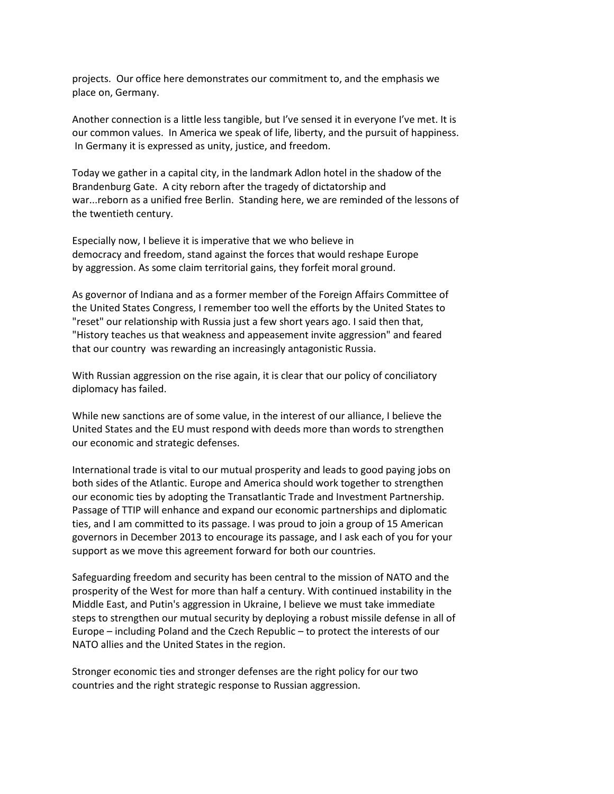projects. Our office here demonstrates our commitment to, and the emphasis we place on, Germany.

Another connection is a little less tangible, but I've sensed it in everyone I've met. It is our common values. In America we speak of life, liberty, and the pursuit of happiness. In Germany it is expressed as unity, justice, and freedom.

Today we gather in a capital city, in the landmark Adlon hotel in the shadow of the Brandenburg Gate. A city reborn after the tragedy of dictatorship and war...reborn as a unified free Berlin. Standing here, we are reminded of the lessons of the twentieth century.

Especially now, I believe it is imperative that we who believe in democracy and freedom, stand against the forces that would reshape Europe by aggression. As some claim territorial gains, they forfeit moral ground.

As governor of Indiana and as a former member of the Foreign Affairs Committee of the United States Congress, I remember too well the efforts by the United States to "reset" our relationship with Russia just a few short years ago. I said then that, "History teaches us that weakness and appeasement invite aggression" and feared that our country was rewarding an increasingly antagonistic Russia.

With Russian aggression on the rise again, it is clear that our policy of conciliatory diplomacy has failed.

While new sanctions are of some value, in the interest of our alliance, I believe the United States and the EU must respond with deeds more than words to strengthen our economic and strategic defenses.

International trade is vital to our mutual prosperity and leads to good paying jobs on both sides of the Atlantic. Europe and America should work together to strengthen our economic ties by adopting the Transatlantic Trade and Investment Partnership. Passage of TTIP will enhance and expand our economic partnerships and diplomatic ties, and I am committed to its passage. I was proud to join a group of 15 American governors in December 2013 to encourage its passage, and I ask each of you for your support as we move this agreement forward for both our countries.

Safeguarding freedom and security has been central to the mission of NATO and the prosperity of the West for more than half a century. With continued instability in the Middle East, and Putin's aggression in Ukraine, I believe we must take immediate steps to strengthen our mutual security by deploying a robust missile defense in all of Europe – including Poland and the Czech Republic – to protect the interests of our NATO allies and the United States in the region.

Stronger economic ties and stronger defenses are the right policy for our two countries and the right strategic response to Russian aggression.